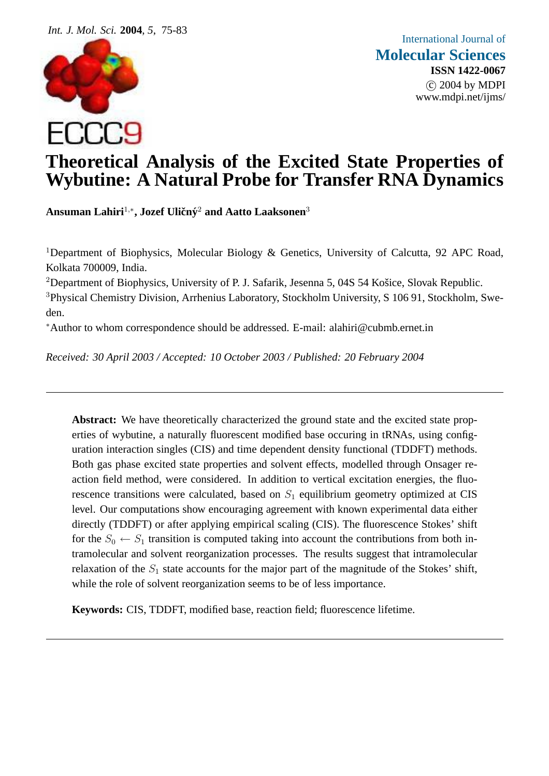

# **Theoretical Analysis of the Excited State Properties of Wybutine: A Natural Probe for Transfer RNA Dynamics**

 $\bf A$ nsuman Lahiri<sup>1,</sup>\*, Jozef Uličný<sup>2</sup> and Aatto Laaksonen<sup>3</sup>

<sup>1</sup>Department of Biophysics, Molecular Biology & Genetics, University of Calcutta, 92 APC Road, Kolkata 700009, India.

<sup>2</sup>Department of Biophysics, University of P. J. Safarik, Jesenna 5, 04S 54 Košice, Slovak Republic.

<sup>3</sup>Physical Chemistry Division, Arrhenius Laboratory, Stockholm University, S 106 91, Stockholm, Sweden.

<sup>∗</sup>Author to whom correspondence should be addressed. E-mail: alahiri@cubmb.ernet.in

*Received: 30 April 2003 / Accepted: 10 October 2003 / Published: 20 February 2004*

**Abstract:** We have theoretically characterized the ground state and the excited state properties of wybutine, a naturally fluorescent modified base occuring in tRNAs, using configuration interaction singles (CIS) and time dependent density functional (TDDFT) methods. Both gas phase excited state properties and solvent effects, modelled through Onsager reaction field method, were considered. In addition to vertical excitation energies, the fluorescence transitions were calculated, based on  $S_1$  equilibrium geometry optimized at CIS level. Our computations show encouraging agreement with known experimental data either directly (TDDFT) or after applying empirical scaling (CIS). The fluorescence Stokes' shift for the  $S_0 \leftarrow S_1$  transition is computed taking into account the contributions from both intramolecular and solvent reorganization processes. The results suggest that intramolecular relaxation of the  $S_1$  state accounts for the major part of the magnitude of the Stokes' shift, while the role of solvent reorganization seems to be of less importance.

**Keywords:** CIS, TDDFT, modified base, reaction field; fluorescence lifetime.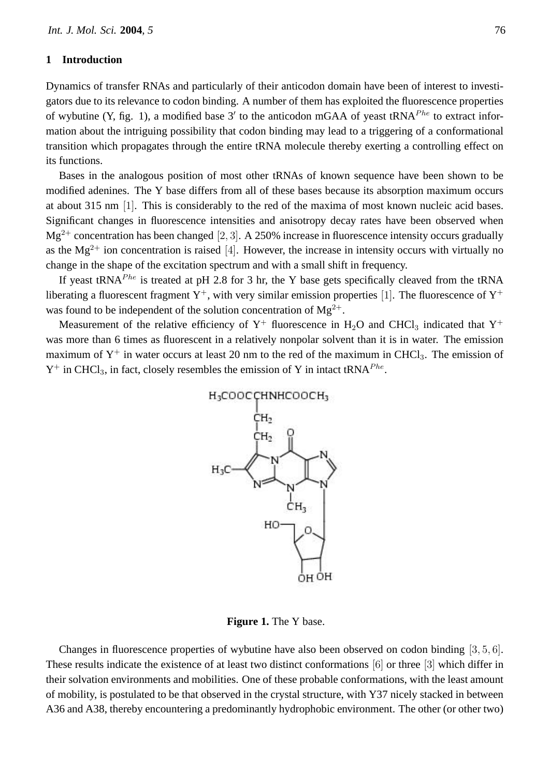## **1 Introduction**

Dynamics of transfer RNAs and particularly of their anticodon domain have been of interest to investigators due to its relevance to codon binding. A number of them has exploited the fluorescence properties of wybutine (Y, fig. 1), a modified base 3' to the anticodon mGAA of yeast tRNA<sup>Phe</sup> to extract information about the intriguing possibility that codon binding may lead to a triggering of a conformational transition which propagates through the entire tRNA molecule thereby exerting a controlling effect on its functions.

Bases in the analogous position of most other tRNAs of known sequence have been shown to be modified adenines. The Y base differs from all of these bases because its absorption maximum occurs at about 315 nm [1]. This is considerably to the red of the maxima of most known nucleic acid bases. Significant changes in fluorescence intensities and anisotropy decay rates have been observed when  $Mg^{2+}$  concentration has been changed [2, 3]. A 250% increase in fluorescence intensity occurs gradually as the  $Mg^{2+}$  ion concentration is raised [4]. However, the increase in intensity occurs with virtually no change in the shape of the excitation spectrum and with a small shift in frequency.

If yeast tRNA<sup>Phe</sup> is treated at pH 2.8 for 3 hr, the Y base gets specifically cleaved from the tRNA liberating a fluorescent fragment  $Y^+$ , with very similar emission properties [1]. The fluorescence of  $Y^+$ was found to be independent of the solution concentration of  $Mg^{2+}$ .

Measurement of the relative efficiency of  $Y^+$  fluorescence in H<sub>2</sub>O and CHCl<sub>3</sub> indicated that  $Y^+$ was more than 6 times as fluorescent in a relatively nonpolar solvent than it is in water. The emission maximum of  $Y^+$  in water occurs at least 20 nm to the red of the maximum in CHCl<sub>3</sub>. The emission of  $Y^+$  in CHCl<sub>3</sub>, in fact, closely resembles the emission of Y in intact tRNA<sup>Phe</sup>.



**Figure 1.** The Y base.

Changes in fluorescence properties of wybutine have also been observed on codon binding [3, 5, 6]. These results indicate the existence of at least two distinct conformations [6] or three [3] which differ in their solvation environments and mobilities. One of these probable conformations, with the least amount of mobility, is postulated to be that observed in the crystal structure, with Y37 nicely stacked in between A36 and A38, thereby encountering a predominantly hydrophobic environment. The other (or other two)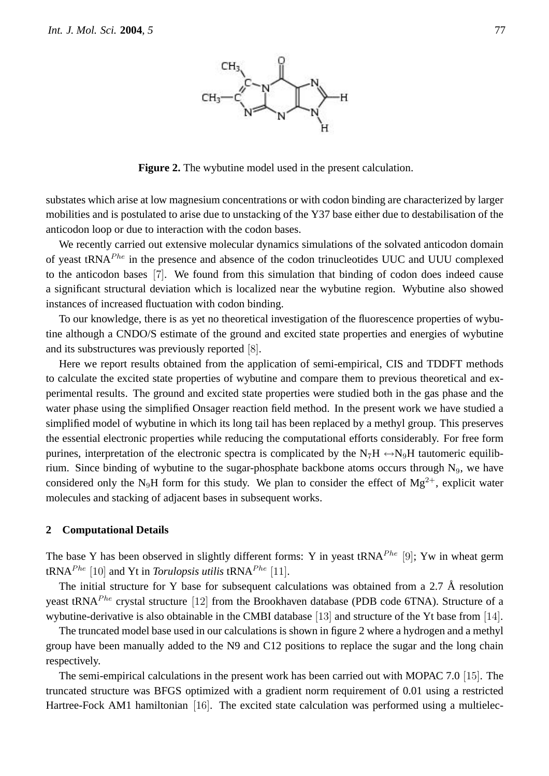

**Figure 2.** The wybutine model used in the present calculation.

substates which arise at low magnesium concentrations or with codon binding are characterized by larger mobilities and is postulated to arise due to unstacking of the Y37 base either due to destabilisation of the anticodon loop or due to interaction with the codon bases.

We recently carried out extensive molecular dynamics simulations of the solvated anticodon domain of yeast  $tRNA<sup>Phe</sup>$  in the presence and absence of the codon trinucleotides UUC and UUU complexed to the anticodon bases [7]. We found from this simulation that binding of codon does indeed cause a significant structural deviation which is localized near the wybutine region. Wybutine also showed instances of increased fluctuation with codon binding.

To our knowledge, there is as yet no theoretical investigation of the fluorescence properties of wybutine although a CNDO/S estimate of the ground and excited state properties and energies of wybutine and its substructures was previously reported [8].

Here we report results obtained from the application of semi-empirical, CIS and TDDFT methods to calculate the excited state properties of wybutine and compare them to previous theoretical and experimental results. The ground and excited state properties were studied both in the gas phase and the water phase using the simplified Onsager reaction field method. In the present work we have studied a simplified model of wybutine in which its long tail has been replaced by a methyl group. This preserves the essential electronic properties while reducing the computational efforts considerably. For free form purines, interpretation of the electronic spectra is complicated by the  $N_7H \leftrightarrow N_9H$  tautomeric equilibrium. Since binding of wybutine to the sugar-phosphate backbone atoms occurs through  $N<sub>9</sub>$ , we have considered only the N<sub>9</sub>H form for this study. We plan to consider the effect of Mg<sup>2+</sup>, explicit water molecules and stacking of adjacent bases in subsequent works.

### **2 Computational Details**

The base Y has been observed in slightly different forms: Y in yeast tRNA<sup>Phe</sup> [9]; Yw in wheat germ  $tRNA^{Phe}$  [10] and Yt in *Torulopsis utilis*  $tRNA^{Phe}$  [11].

The initial structure for Y base for subsequent calculations was obtained from a 2.7 Å resolution yeast tRNA<sup>Phe</sup> crystal structure [12] from the Brookhaven database (PDB code 6TNA). Structure of a wybutine-derivative is also obtainable in the CMBI database [13] and structure of the Yt base from [14].

The truncated model base used in our calculations is shown in figure 2 where a hydrogen and a methyl group have been manually added to the N9 and C12 positions to replace the sugar and the long chain respectively.

The semi-empirical calculations in the present work has been carried out with MOPAC 7.0 [15]. The truncated structure was BFGS optimized with a gradient norm requirement of 0.01 using a restricted Hartree-Fock AM1 hamiltonian [16]. The excited state calculation was performed using a multielec-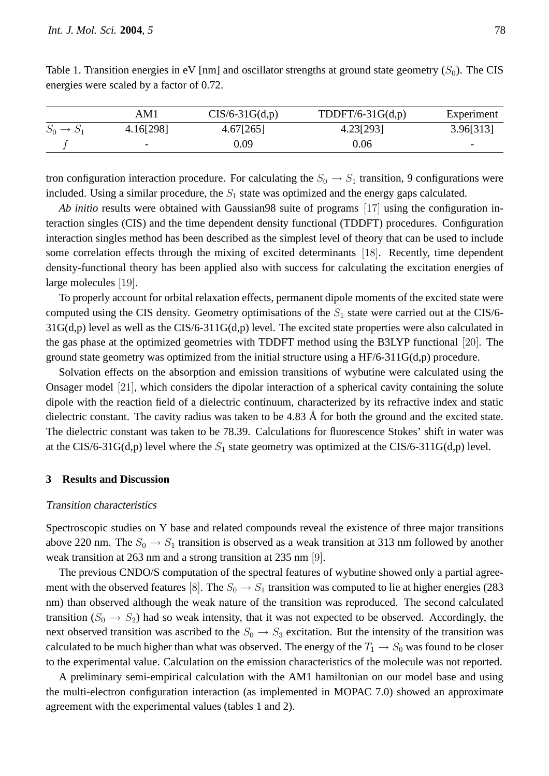|                       | AM1                          | $CIS/6-31G(d,p)$ | TDDFT/6-31 $G(d,p)$ | Experiment               |
|-----------------------|------------------------------|------------------|---------------------|--------------------------|
| $S_0 \rightarrow S_1$ | 4.16[298]                    | 4.67[265]        | 4.23[293]           | 3.96[313]                |
|                       | $\qquad \qquad \blacksquare$ | 0.09             | 0.06                | $\overline{\phantom{0}}$ |

Table 1. Transition energies in eV [nm] and oscillator strengths at ground state geometry  $(S_0)$ . The CIS energies were scaled by a factor of 0.72.

tron configuration interaction procedure. For calculating the  $S_0 \rightarrow S_1$  transition, 9 configurations were included. Using a similar procedure, the  $S_1$  state was optimized and the energy gaps calculated.

*Ab initio* results were obtained with Gaussian98 suite of programs [17] using the configuration interaction singles (CIS) and the time dependent density functional (TDDFT) procedures. Configuration interaction singles method has been described as the simplest level of theory that can be used to include some correlation effects through the mixing of excited determinants [18]. Recently, time dependent density-functional theory has been applied also with success for calculating the excitation energies of large molecules [19].

To properly account for orbital relaxation effects, permanent dipole moments of the excited state were computed using the CIS density. Geometry optimisations of the  $S_1$  state were carried out at the CIS/6-31G(d,p) level as well as the CIS/6-311G(d,p) level. The excited state properties were also calculated in the gas phase at the optimized geometries with TDDFT method using the B3LYP functional [20]. The ground state geometry was optimized from the initial structure using a HF/6-311G(d,p) procedure.

Solvation effects on the absorption and emission transitions of wybutine were calculated using the Onsager model [21], which considers the dipolar interaction of a spherical cavity containing the solute dipole with the reaction field of a dielectric continuum, characterized by its refractive index and static dielectric constant. The cavity radius was taken to be  $4.83 \text{ Å}$  for both the ground and the excited state. The dielectric constant was taken to be 78.39. Calculations for fluorescence Stokes' shift in water was at the CIS/6-31G(d,p) level where the  $S_1$  state geometry was optimized at the CIS/6-311G(d,p) level.

## **3 Results and Discussion**

#### Transition characteristics

Spectroscopic studies on Y base and related compounds reveal the existence of three major transitions above 220 nm. The  $S_0 \rightarrow S_1$  transition is observed as a weak transition at 313 nm followed by another weak transition at 263 nm and a strong transition at 235 nm [9].

The previous CNDO/S computation of the spectral features of wybutine showed only a partial agreement with the observed features [8]. The  $S_0 \rightarrow S_1$  transition was computed to lie at higher energies (283) nm) than observed although the weak nature of the transition was reproduced. The second calculated transition ( $S_0 \rightarrow S_2$ ) had so weak intensity, that it was not expected to be observed. Accordingly, the next observed transition was ascribed to the  $S_0 \rightarrow S_3$  excitation. But the intensity of the transition was calculated to be much higher than what was observed. The energy of the  $T_1 \rightarrow S_0$  was found to be closer to the experimental value. Calculation on the emission characteristics of the molecule was not reported.

A preliminary semi-empirical calculation with the AM1 hamiltonian on our model base and using the multi-electron configuration interaction (as implemented in MOPAC 7.0) showed an approximate agreement with the experimental values (tables 1 and 2).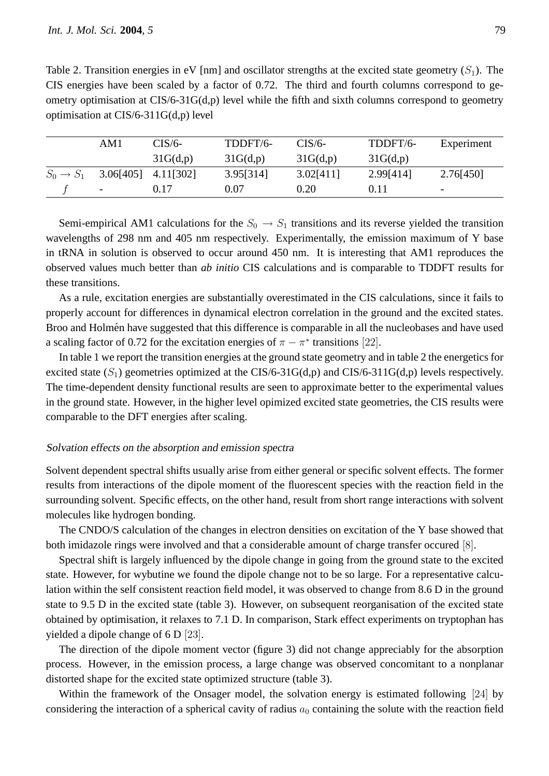Table 2. Transition energies in eV [nm] and oscillator strengths at the excited state geometry  $(S_1)$ . The CIS energies have been scaled by a factor of 0.72. The third and fourth columns correspond to geometry optimisation at CIS/6-31G(d,p) level while the fifth and sixth columns correspond to geometry optimisation at CIS/6-311G(d,p) level

|                       | AM1                      | CIS/6-    | TDDFT/6-  | $CIS/6-$  | TDDFT/6-  | Experiment               |
|-----------------------|--------------------------|-----------|-----------|-----------|-----------|--------------------------|
|                       |                          | 31G(d,p)  | 31G(d,p)  | 31G(d,p)  | 31G(d,p)  |                          |
| $S_0 \rightarrow S_1$ | 3.06[405]                | 4.11[302] | 3.95[314] | 3.02[411] | 2.99[414] | 2.76[450]                |
|                       | $\overline{\phantom{0}}$ | 0.17      | 0.07      | 0.20      | 0.11      | $\overline{\phantom{0}}$ |

Semi-empirical AM1 calculations for the  $S_0 \rightarrow S_1$  transitions and its reverse yielded the transition wavelengths of 298 nm and 405 nm respectively. Experimentally, the emission maximum of Y base in tRNA in solution is observed to occur around 450 nm. It is interesting that AM1 reproduces the observed values much better than *ab initio* CIS calculations and is comparable to TDDFT results for these transitions.

As a rule, excitation energies are substantially overestimated in the CIS calculations, since it fails to properly account for differences in dynamical electron correlation in the ground and the excited states. Broo and Holmén have suggested that this difference is comparable in all the nucleobases and have used a scaling factor of 0.72 for the excitation energies of  $\pi - \pi^*$  transitions [22].

In table 1 we report the transition energies at the ground state geometry and in table 2 the energetics for excited state  $(S_1)$  geometries optimized at the CIS/6-31G(d,p) and CIS/6-311G(d,p) levels respectively. The time-dependent density functional results are seen to approximate better to the experimental values in the ground state. However, in the higher level opimized excited state geometries, the CIS results were comparable to the DFT energies after scaling.

# Solvation effects on the absorption and emission spectra

Solvent dependent spectral shifts usually arise from either general or specific solvent effects. The former results from interactions of the dipole moment of the fluorescent species with the reaction field in the surrounding solvent. Specific effects, on the other hand, result from short range interactions with solvent molecules like hydrogen bonding.

The CNDO/S calculation of the changes in electron densities on excitation of the Y base showed that both imidazole rings were involved and that a considerable amount of charge transfer occured [8].

Spectral shift is largely influenced by the dipole change in going from the ground state to the excited state. However, for wybutine we found the dipole change not to be so large. For a representative calculation within the self consistent reaction field model, it was observed to change from 8.6 D in the ground state to 9.5 D in the excited state (table 3). However, on subsequent reorganisation of the excited state obtained by optimisation, it relaxes to 7.1 D. In comparison, Stark effect experiments on tryptophan has yielded a dipole change of 6 D [23].

The direction of the dipole moment vector (figure 3) did not change appreciably for the absorption process. However, in the emission process, a large change was observed concomitant to a nonplanar distorted shape for the excited state optimized structure (table 3).

Within the framework of the Onsager model, the solvation energy is estimated following [24] by considering the interaction of a spherical cavity of radius  $a_0$  containing the solute with the reaction field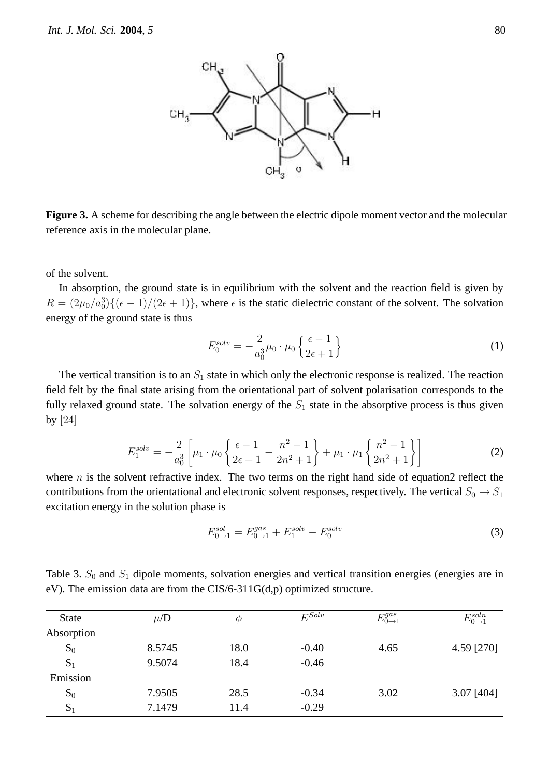

**Figure 3.** A scheme for describing the angle between the electric dipole moment vector and the molecular reference axis in the molecular plane.

of the solvent.

In absorption, the ground state is in equilibrium with the solvent and the reaction field is given by  $R = (2\mu_0/a_0^3)\{(\epsilon - 1)/(2\epsilon + 1)\}\,$ , where  $\epsilon$  is the static dielectric constant of the solvent. The solvation energy of the ground state is thus

$$
E_0^{solv} = -\frac{2}{a_0^3} \mu_0 \cdot \mu_0 \left\{ \frac{\epsilon - 1}{2\epsilon + 1} \right\} \tag{1}
$$

The vertical transition is to an  $S_1$  state in which only the electronic response is realized. The reaction field felt by the final state arising from the orientational part of solvent polarisation corresponds to the fully relaxed ground state. The solvation energy of the  $S_1$  state in the absorptive process is thus given by [24]

$$
E_1^{solv} = -\frac{2}{a_0^3} \left[ \mu_1 \cdot \mu_0 \left\{ \frac{\epsilon - 1}{2\epsilon + 1} - \frac{n^2 - 1}{2n^2 + 1} \right\} + \mu_1 \cdot \mu_1 \left\{ \frac{n^2 - 1}{2n^2 + 1} \right\} \right]
$$
(2)

where  $n$  is the solvent refractive index. The two terms on the right hand side of equation2 reflect the contributions from the orientational and electronic solvent responses, respectively. The vertical  $S_0 \rightarrow S_1$ excitation energy in the solution phase is

$$
E_{0\to 1}^{sol} = E_{0\to 1}^{gas} + E_1^{solv} - E_0^{solv} \tag{3}
$$

Table 3.  $S_0$  and  $S_1$  dipole moments, solvation energies and vertical transition energies (energies are in eV). The emission data are from the CIS/6-311G(d,p) optimized structure.

| <b>State</b> | $\mu/D$ | Ø    | $E^{Solv}$ | $E_{0\rightarrow 1}^{gas}$ | $E_{0\rightarrow 1}^{soln}$ |
|--------------|---------|------|------------|----------------------------|-----------------------------|
| Absorption   |         |      |            |                            |                             |
| $S_0$        | 8.5745  | 18.0 | $-0.40$    | 4.65                       | 4.59 [270]                  |
| $S_1$        | 9.5074  | 18.4 | $-0.46$    |                            |                             |
| Emission     |         |      |            |                            |                             |
| $S_0$        | 7.9505  | 28.5 | $-0.34$    | 3.02                       | $3.07$ [404]                |
| $S_1$        | 7.1479  | 11.4 | $-0.29$    |                            |                             |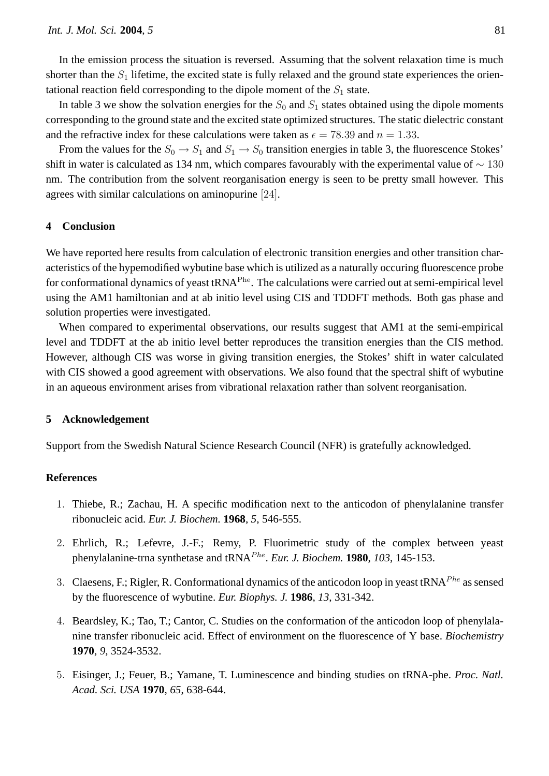In the emission process the situation is reversed. Assuming that the solvent relaxation time is much shorter than the  $S_1$  lifetime, the excited state is fully relaxed and the ground state experiences the orientational reaction field corresponding to the dipole moment of the  $S_1$  state.

In table 3 we show the solvation energies for the  $S_0$  and  $S_1$  states obtained using the dipole moments corresponding to the ground state and the excited state optimized structures. The static dielectric constant and the refractive index for these calculations were taken as  $\epsilon = 78.39$  and  $n = 1.33$ .

From the values for the  $S_0 \to S_1$  and  $S_1 \to S_0$  transition energies in table 3, the fluorescence Stokes' shift in water is calculated as 134 nm, which compares favourably with the experimental value of  $\sim 130$ nm. The contribution from the solvent reorganisation energy is seen to be pretty small however. This agrees with similar calculations on aminopurine [24].

## **4 Conclusion**

We have reported here results from calculation of electronic transition energies and other transition characteristics of the hypemodified wybutine base which is utilized as a naturally occuring fluorescence probe for conformational dynamics of yeast tRNA<sup>Phe</sup>. The calculations were carried out at semi-empirical level using the AM1 hamiltonian and at ab initio level using CIS and TDDFT methods. Both gas phase and solution properties were investigated.

When compared to experimental observations, our results suggest that AM1 at the semi-empirical level and TDDFT at the ab initio level better reproduces the transition energies than the CIS method. However, although CIS was worse in giving transition energies, the Stokes' shift in water calculated with CIS showed a good agreement with observations. We also found that the spectral shift of wybutine in an aqueous environment arises from vibrational relaxation rather than solvent reorganisation.

#### **5 Acknowledgement**

Support from the Swedish Natural Science Research Council (NFR) is gratefully acknowledged.

## **References**

- 1. Thiebe, R.; Zachau, H. A specific modification next to the anticodon of phenylalanine transfer ribonucleic acid. *Eur. J. Biochem.* **1968**, *5*, 546-555.
- 2. Ehrlich, R.; Lefevre, J.-F.; Remy, P. Fluorimetric study of the complex between yeast phenylalanine-trna synthetase and tRNA<sup>Phe</sup>. Eur. J. Biochem. **1980**, 103, 145-153.
- 3. Claesens, F.; Rigler, R. Conformational dynamics of the anticodon loop in yeast tRNA<sup>Phe</sup> as sensed by the fluorescence of wybutine. *Eur. Biophys. J.* **1986**, *13*, 331-342.
- 4. Beardsley, K.; Tao, T.; Cantor, C. Studies on the conformation of the anticodon loop of phenylalanine transfer ribonucleic acid. Effect of environment on the fluorescence of Y base. *Biochemistry* **1970**, *9*, 3524-3532.
- 5. Eisinger, J.; Feuer, B.; Yamane, T. Luminescence and binding studies on tRNA-phe. *Proc. Natl. Acad. Sci. USA* **1970**, *65*, 638-644.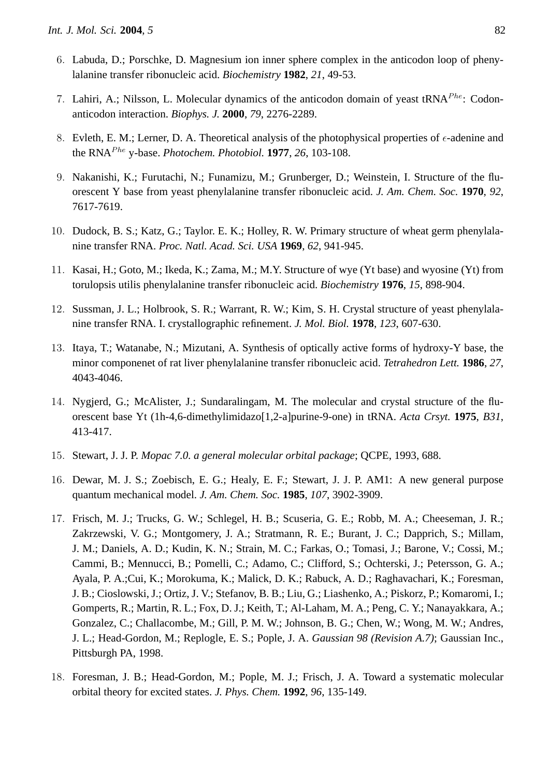- 6. Labuda, D.; Porschke, D. Magnesium ion inner sphere complex in the anticodon loop of phenylalanine transfer ribonucleic acid. *Biochemistry* **1982**, *21*, 49-53.
- 7. Lahiri, A.; Nilsson, L. Molecular dynamics of the anticodon domain of yeast  $tRNA<sup>Phe</sup>$ : Codonanticodon interaction. *Biophys. J.* **2000**, *79*, 2276-2289.
- 8. Evleth, E. M.; Lerner, D. A. Theoretical analysis of the photophysical properties of  $\epsilon$ -adenine and the RNA<sup>Phe</sup> y-base. *Photochem. Photobiol.* **1977**, 26, 103-108.
- 9. Nakanishi, K.; Furutachi, N.; Funamizu, M.; Grunberger, D.; Weinstein, I. Structure of the fluorescent Y base from yeast phenylalanine transfer ribonucleic acid. *J. Am. Chem. Soc.* **1970**, *92*, 7617-7619.
- 10. Dudock, B. S.; Katz, G.; Taylor. E. K.; Holley, R. W. Primary structure of wheat germ phenylalanine transfer RNA. *Proc. Natl. Acad. Sci. USA* **1969**, *62*, 941-945.
- 11. Kasai, H.; Goto, M.; Ikeda, K.; Zama, M.; M.Y. Structure of wye (Yt base) and wyosine (Yt) from torulopsis utilis phenylalanine transfer ribonucleic acid. *Biochemistry* **1976**, *15*, 898-904.
- 12. Sussman, J. L.; Holbrook, S. R.; Warrant, R. W.; Kim, S. H. Crystal structure of yeast phenylalanine transfer RNA. I. crystallographic refinement. *J. Mol. Biol.* **1978**, *123*, 607-630.
- 13. Itaya, T.; Watanabe, N.; Mizutani, A. Synthesis of optically active forms of hydroxy-Y base, the minor componenet of rat liver phenylalanine transfer ribonucleic acid. *Tetrahedron Lett.* **1986**, *27*, 4043-4046.
- 14. Nygjerd, G.; McAlister, J.; Sundaralingam, M. The molecular and crystal structure of the fluorescent base Yt (1h-4,6-dimethylimidazo[1,2-a]purine-9-one) in tRNA. *Acta Crsyt.* **1975**, *B31*, 413-417.
- 15. Stewart, J. J. P. *Mopac 7.0. a general molecular orbital package*; QCPE, 1993, 688.
- 16. Dewar, M. J. S.; Zoebisch, E. G.; Healy, E. F.; Stewart, J. J. P. AM1: A new general purpose quantum mechanical model. *J. Am. Chem. Soc.* **1985**, *107*, 3902-3909.
- 17. Frisch, M. J.; Trucks, G. W.; Schlegel, H. B.; Scuseria, G. E.; Robb, M. A.; Cheeseman, J. R.; Zakrzewski, V. G.; Montgomery, J. A.; Stratmann, R. E.; Burant, J. C.; Dapprich, S.; Millam, J. M.; Daniels, A. D.; Kudin, K. N.; Strain, M. C.; Farkas, O.; Tomasi, J.; Barone, V.; Cossi, M.; Cammi, B.; Mennucci, B.; Pomelli, C.; Adamo, C.; Clifford, S.; Ochterski, J.; Petersson, G. A.; Ayala, P. A.;Cui, K.; Morokuma, K.; Malick, D. K.; Rabuck, A. D.; Raghavachari, K.; Foresman, J. B.; Cioslowski, J.; Ortiz, J. V.; Stefanov, B. B.; Liu, G.; Liashenko, A.; Piskorz, P.; Komaromi, I.; Gomperts, R.; Martin, R. L.; Fox, D. J.; Keith, T.; Al-Laham, M. A.; Peng, C. Y.; Nanayakkara, A.; Gonzalez, C.; Challacombe, M.; Gill, P. M. W.; Johnson, B. G.; Chen, W.; Wong, M. W.; Andres, J. L.; Head-Gordon, M.; Replogle, E. S.; Pople, J. A. *Gaussian 98 (Revision A.7)*; Gaussian Inc., Pittsburgh PA, 1998.
- 18. Foresman, J. B.; Head-Gordon, M.; Pople, M. J.; Frisch, J. A. Toward a systematic molecular orbital theory for excited states. *J. Phys. Chem.* **1992**, *96*, 135-149.